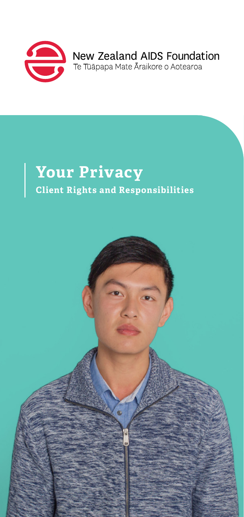

New Zealand AIDS Foundation Te Tūāpapa Mate Āraikore o Aotearoa

## **Your Privacy Client Rights and Responsibilities**

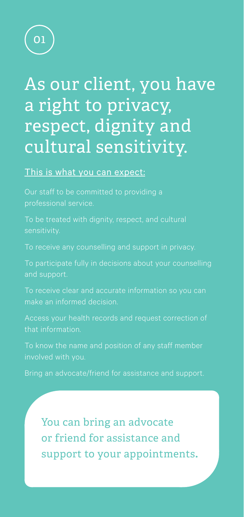

# As our client, you have a right to privacy, respect, dignity and cultural sensitivity.

### This is what you can expect:

professional service.

To be treated with dignity, respect, and cultural

To participate fully in decisions about your counselling and support.

To receive clear and accurate information so you can make an informed decision.

Access your health records and request correction of that information.

To know the name and position of any staff member

Bring an advocate/friend for assistance and support.

You can bring an advocate or friend for assistance and support to your appointments**.**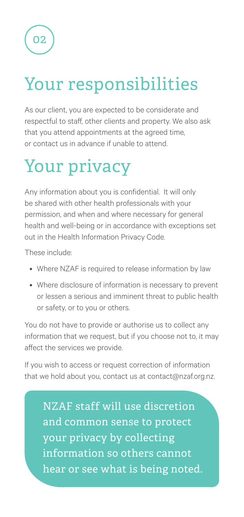02

# Your responsibilities

As our client, you are expected to be considerate and respectful to staff, other clients and property. We also ask that you attend appointments at the agreed time, or contact us in advance if unable to attend.

# Your privacy

Any information about you is confidential. It will only be shared with other health professionals with your permission, and when and where necessary for general health and well-being or in accordance with exceptions set out in the Health Information Privacy Code.

These include:

- Where NZAF is required to release information by law
- Where disclosure of information is necessary to prevent or lessen a serious and imminent threat to public health or safety, or to you or others.

You do not have to provide or authorise us to collect any information that we request, but if you choose not to, it may affect the services we provide.

If you wish to access or request correction of information that we hold about you, contact us at contact@nzaf.org.nz.

and common sense to protect your privacy by collecting information so others cannot hear or see what is being noted. NZAF staff will use discretion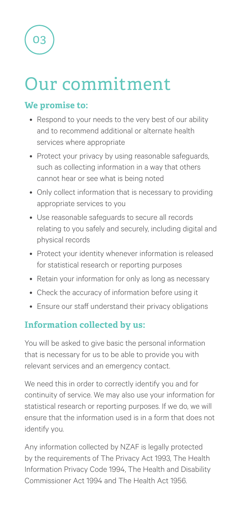os

# Our commitment

### **We promise to:**

- Respond to your needs to the very best of our ability and to recommend additional or alternate health services where appropriate
- Protect your privacy by using reasonable safeguards, such as collecting information in a way that others cannot hear or see what is being noted
- Only collect information that is necessary to providing appropriate services to you
- Use reasonable safeguards to secure all records relating to you safely and securely, including digital and physical records
- Protect your identity whenever information is released for statistical research or reporting purposes
- Retain your information for only as long as necessary
- Check the accuracy of information before using it
- Ensure our staff understand their privacy obligations

### **Information collected by us:**

You will be asked to give basic the personal information that is necessary for us to be able to provide you with relevant services and an emergency contact.

We need this in order to correctly identify you and for continuity of service. We may also use your information for statistical research or reporting purposes. If we do, we will ensure that the information used is in a form that does not identify you.

Any information collected by NZAF is legally protected by the requirements of The Privacy Act 1993, The Health Information Privacy Code 1994, The Health and Disability Commissioner Act 1994 and The Health Act 1956.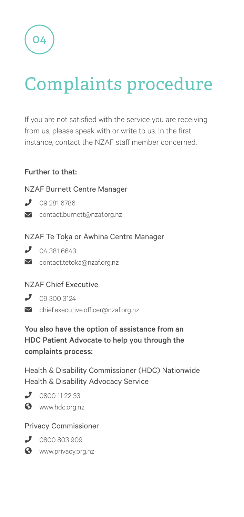04

# Complaints procedure

If you are not satisfied with the service you are receiving from us, please speak with or write to us. In the first instance, contact the NZAF staff member concerned.

#### Further to that:

#### NZAF Burnett Centre Manager

- $3092816786$
- contact.burnett@nzaf.org.nz

#### NZAF Te Toka or Āwhina Centre Manager

- $04.3816643$
- **M** contact.tetoka@nzaf.org.nz

#### NZAF Chief Executive

- $\bigcup$  09 300 3124
- chief.executive.officer@nzaf.org.nz

### You also have the option of assistance from an HDC Patient Advocate to help you through the complaints process:

Health & Disability Commissioner (HDC) Nationwide Health & Disability Advocacy Service

- 
- $33$  0800 11 22 33 **3** www.hdc.org.nz
- 

### Privacy Commissioner

- 0800 803 909
- **S** www.privacy.org.nz